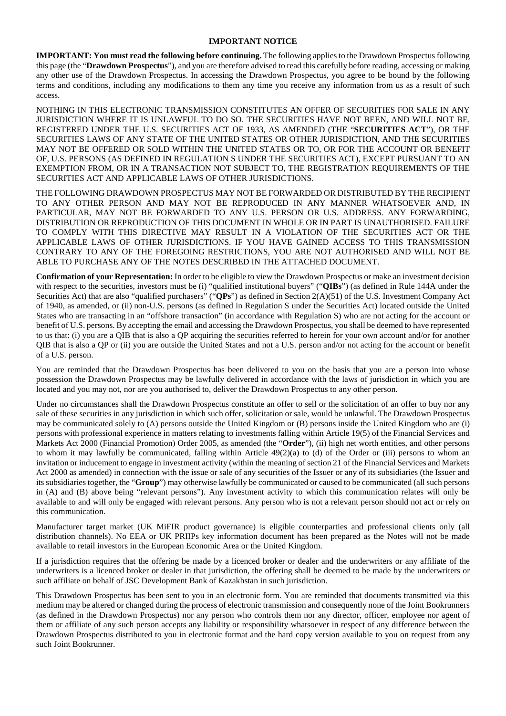#### **IMPORTANT NOTICE**

**IMPORTANT: You must read the following before continuing.** The following applies to the Drawdown Prospectus following this page (the "**Drawdown Prospectus**"), and you are therefore advised to read this carefully before reading, accessing or making any other use of the Drawdown Prospectus. In accessing the Drawdown Prospectus, you agree to be bound by the following terms and conditions, including any modifications to them any time you receive any information from us as a result of such access.

NOTHING IN THIS ELECTRONIC TRANSMISSION CONSTITUTES AN OFFER OF SECURITIES FOR SALE IN ANY JURISDICTION WHERE IT IS UNLAWFUL TO DO SO. THE SECURITIES HAVE NOT BEEN, AND WILL NOT BE, REGISTERED UNDER THE U.S. SECURITIES ACT OF 1933, AS AMENDED (THE "**SECURITIES ACT**"), OR THE SECURITIES LAWS OF ANY STATE OF THE UNITED STATES OR OTHER JURISDICTION, AND THE SECURITIES MAY NOT BE OFFERED OR SOLD WITHIN THE UNITED STATES OR TO, OR FOR THE ACCOUNT OR BENEFIT OF, U.S. PERSONS (AS DEFINED IN REGULATION S UNDER THE SECURITIES ACT), EXCEPT PURSUANT TO AN EXEMPTION FROM, OR IN A TRANSACTION NOT SUBJECT TO, THE REGISTRATION REQUIREMENTS OF THE SECURITIES ACT AND APPLICABLE LAWS OF OTHER JURISDICTIONS.

THE FOLLOWING DRAWDOWN PROSPECTUS MAY NOT BE FORWARDED OR DISTRIBUTED BY THE RECIPIENT TO ANY OTHER PERSON AND MAY NOT BE REPRODUCED IN ANY MANNER WHATSOEVER AND, IN PARTICULAR, MAY NOT BE FORWARDED TO ANY U.S. PERSON OR U.S. ADDRESS. ANY FORWARDING, DISTRIBUTION OR REPRODUCTION OF THIS DOCUMENT IN WHOLE OR IN PART IS UNAUTHORISED. FAILURE TO COMPLY WITH THIS DIRECTIVE MAY RESULT IN A VIOLATION OF THE SECURITIES ACT OR THE APPLICABLE LAWS OF OTHER JURISDICTIONS. IF YOU HAVE GAINED ACCESS TO THIS TRANSMISSION CONTRARY TO ANY OF THE FOREGOING RESTRICTIONS, YOU ARE NOT AUTHORISED AND WILL NOT BE ABLE TO PURCHASE ANY OF THE NOTES DESCRIBED IN THE ATTACHED DOCUMENT.

**Confirmation of your Representation:** In order to be eligible to view the Drawdown Prospectus or make an investment decision with respect to the securities, investors must be (i) "qualified institutional buyers" ("QIBs") (as defined in Rule 144A under the Securities Act) that are also "qualified purchasers" ("**QPs**") as defined in Section 2(A)(51) of the U.S. Investment Company Act of 1940, as amended, or (ii) non-U.S. persons (as defined in Regulation S under the Securities Act) located outside the United States who are transacting in an "offshore transaction" (in accordance with Regulation S) who are not acting for the account or benefit of U.S. persons. By accepting the email and accessing the Drawdown Prospectus, you shall be deemed to have represented to us that: (i) you are a QIB that is also a QP acquiring the securities referred to herein for your own account and/or for another QIB that is also a QP or (ii) you are outside the United States and not a U.S. person and/or not acting for the account or benefit of a U.S. person.

You are reminded that the Drawdown Prospectus has been delivered to you on the basis that you are a person into whose possession the Drawdown Prospectus may be lawfully delivered in accordance with the laws of jurisdiction in which you are located and you may not, nor are you authorised to, deliver the Drawdown Prospectus to any other person.

Under no circumstances shall the Drawdown Prospectus constitute an offer to sell or the solicitation of an offer to buy nor any sale of these securities in any jurisdiction in which such offer, solicitation or sale, would be unlawful. The Drawdown Prospectus may be communicated solely to (A) persons outside the United Kingdom or (B) persons inside the United Kingdom who are (i) persons with professional experience in matters relating to investments falling within Article 19(5) of the Financial Services and Markets Act 2000 (Financial Promotion) Order 2005, as amended (the "**Order**"), (ii) high net worth entities, and other persons to whom it may lawfully be communicated, falling within Article  $49(2)(a)$  to (d) of the Order or (iii) persons to whom an invitation or inducement to engage in investment activity (within the meaning of section 21 of the Financial Services and Markets Act 2000 as amended) in connection with the issue or sale of any securities of the Issuer or any of its subsidiaries (the Issuer and its subsidiaries together, the "**Group**") may otherwise lawfully be communicated or caused to be communicated (all such persons in (A) and (B) above being "relevant persons"). Any investment activity to which this communication relates will only be available to and will only be engaged with relevant persons. Any person who is not a relevant person should not act or rely on this communication.

Manufacturer target market (UK MiFIR product governance) is eligible counterparties and professional clients only (all distribution channels). No EEA or UK PRIIPs key information document has been prepared as the Notes will not be made available to retail investors in the European Economic Area or the United Kingdom.

If a jurisdiction requires that the offering be made by a licenced broker or dealer and the underwriters or any affiliate of the underwriters is a licenced broker or dealer in that jurisdiction, the offering shall be deemed to be made by the underwriters or such affiliate on behalf of JSC Development Bank of Kazakhstan in such jurisdiction.

This Drawdown Prospectus has been sent to you in an electronic form. You are reminded that documents transmitted via this medium may be altered or changed during the process of electronic transmission and consequently none of the Joint Bookrunners (as defined in the Drawdown Prospectus) nor any person who controls them nor any director, officer, employee nor agent of them or affiliate of any such person accepts any liability or responsibility whatsoever in respect of any difference between the Drawdown Prospectus distributed to you in electronic format and the hard copy version available to you on request from any such Joint Bookrunner.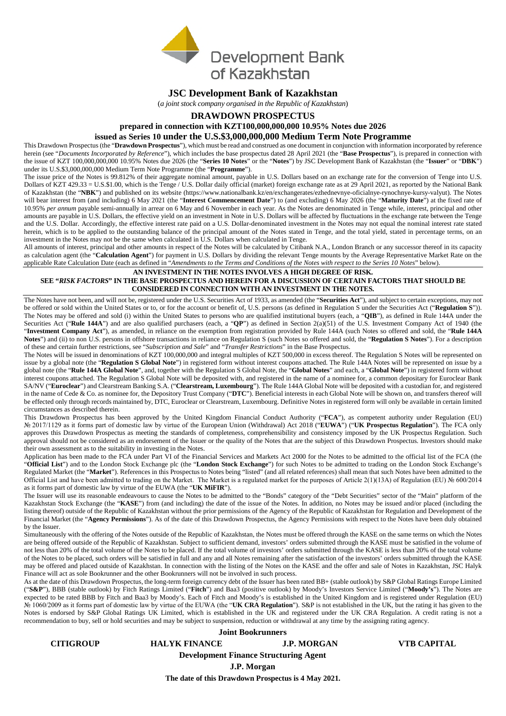

### **JSC Development Bank of Kazakhstan**

(*a joint stock company organised in the Republic of Kazakhstan*)

#### **DRAWDOWN PROSPECTUS**

**prepared in connection with KZT100,000,000,000 10.95% Notes due 2026 issued as Series 10 under the U.S.\$3,000,000,000 Medium Term Note Programme** 

This Drawdown Prospectus (the "**Drawdown Prospectus**"), which must be read and construed as one document in conjunction with information incorporated by reference herein (see "*Documents Incorporated by Reference*"), which includes the base prospectus dated 28 April 2021 (the "**Base Prospectus**"), is prepared in connection with the issue of KZT 100,000,000,000 10.95% Notes due 2026 (the "**Series 10 Notes**" or the "**Notes**") by JSC Development Bank of Kazakhstan (the "**Issuer**" or "**DBK**") under its U.S.\$3,000,000,000 Medium Term Note Programme (the "**Programme**").

The issue price of the Notes is 99.812% of their aggregate nominal amount, payable in U.S. Dollars based on an exchange rate for the conversion of Tenge into U.S. Dollars of KZT 429.33 = U.S.\$1.00, which is the Tenge / U.S. Dollar daily official (market) foreign exchange rate as at 29 April 2021, as reported by the National Bank of Kazakhstan (the "**NBK**") and published on its website (https://www.nationalbank.kz/en/exchangerates/ezhednevnye-oficialnye-rynochnye-kursy-valyut). The Notes will bear interest from (and including) 6 May 2021 (the "**Interest Commencement Date**") to (and excluding) 6 May 2026 (the "**Maturity Date**") at the fixed rate of 10.95% *per annum* payable semi-annually in arrear on 6 May and 6 November in each year. As the Notes are denominated in Tenge while, interest, principal and other amounts are payable in U.S. Dollars, the effective yield on an investment in Note in U.S. Dollars will be affected by fluctuations in the exchange rate between the Tenge and the U.S. Dollar. Accordingly, the effective interest rate paid on a U.S. Dollar-denominated investment in the Notes may not equal the nominal interest rate stated herein, which is to be applied to the outstanding balance of the principal amount of the Notes stated in Tenge, and the total yield, stated in percentage terms, on an investment in the Notes may not be the same when calculated in U.S. Dollars when calculated in Tenge.

All amounts of interest, principal and other amounts in respect of the Notes will be calculated by Citibank N.A., London Branch or any successor thereof in its capacity as calculation agent (the "**Calculation Agent**") for payment in U.S. Dollars by dividing the relevant Tenge mounts by the Average Representative Market Rate on the applicable Rate Calculation Date (each as defined in "*Amendments to the Terms and Conditions of the Notes with respect to the Series 10 Notes*" below).

#### **AN INVESTMENT IN THE NOTES INVOLVES A HIGH DEGREE OF RISK. SEE "***RISK FACTORS***" IN THE BASE PROSPECTUS AND HEREIN FOR A DISCUSSION OF CERTAIN FACTORS THAT SHOULD BE CONSIDERED IN CONNECTION WITH AN INVESTMENT IN THE NOTES.**

The Notes have not been, and will not be, registered under the U.S. Securities Act of 1933, as amended (the "**Securities Act**"), and subject to certain exceptions, may not be offered or sold within the United States or to, or for the account or benefit of, U.S. persons (as defined in Regulation S under the Securities Act ("**Regulation S**")). The Notes may be offered and sold (i) within the United States to persons who are qualified institutional buyers (each, a "**QIB**"), as defined in Rule 144A under the Securities Act ("**Rule 144A**") and are also qualified purchasers (each, a "**QP**") as defined in Section 2(a)(51) of the U.S. Investment Company Act of 1940 (the "**Investment Company Act**"), as amended, in reliance on the exemption from registration provided by Rule 144A (such Notes so offered and sold, the "**Rule 144A Notes**") and (ii) to non U.S. persons in offshore transactions in reliance on Regulation S (such Notes so offered and sold, the "**Regulation S Notes**"). For a description of these and certain further restrictions, see "*Subscription and Sale*" and "*Transfer Restrictions*" in the Base Prospectus.

The Notes will be issued in denominations of KZT 100,000,000 and integral multiples of KZT 500,000 in excess thereof. The Regulation S Notes will be represented on issue by a global note (the "**Regulation S Global Note**") in registered form without interest coupons attached. The Rule 144A Notes will be represented on issue by a global note (the "**Rule 144A Global Note**", and, together with the Regulation S Global Note, the "**Global Notes**" and each, a "**Global Note**") in registered form without interest coupons attached. The Regulation S Global Note will be deposited with, and registered in the name of a nominee for, a common depositary for Euroclear Bank SA/NV ("**Euroclear**") and Clearstream Banking S.A. ("**Clearstream, Luxembourg**"). The Rule 144A Global Note will be deposited with a custodian for, and registered in the name of Cede & Co. as nominee for, the Depository Trust Company ("**DTC**"). Beneficial interests in each Global Note will be shown on, and transfers thereof will be effected only through records maintained by, DTC, Euroclear or Clearstream, Luxembourg. Definitive Notes in registered form will only be available in certain limited circumstances as described therein.

This Drawdown Prospectus has been approved by the United Kingdom Financial Conduct Authority ("**FCA**"), as competent authority under Regulation (EU) № 2017/1129 as it forms part of domestic law by virtue of the European Union (Withdrawal) Act 2018 ("**EUWA**") ("**UK Prospectus Regulation**"). The FCA only approves this Drawdown Prospectus as meeting the standards of completeness, comprehensibility and consistency imposed by the UK Prospectus Regulation. Such approval should not be considered as an endorsement of the Issuer or the quality of the Notes that are the subject of this Drawdown Prospectus. Investors should make their own assessment as to the suitability in investing in the Notes.

Application has been made to the FCA under Part VI of the Financial Services and Markets Act 2000 for the Notes to be admitted to the official list of the FCA (the "**Official List**") and to the London Stock Exchange plc (the "**London Stock Exchange**") for such Notes to be admitted to trading on the London Stock Exchange's Regulated Market (the "Market"). References in this Prospectus to Notes being "listed" (and all related references) shall mean that such Notes have been admitted to the Official List and have been admitted to trading on the Market. The Market is a regulated market for the purposes of Article 2(1)(13A) of Regulation (EU) № 600/2014 as it forms part of domestic law by virtue of the EUWA (the "**UK MiFIR**").

The Issuer will use its reasonable endeavours to cause the Notes to be admitted to the "Bonds" category of the "Debt Securities" sector of the "Main" platform of the Kazakhstan Stock Exchange (the "KASE") from (and including) the date of the issue of the Notes. In addition, no Notes may be issued and/or placed (including the listing thereof) outside of the Republic of Kazakhstan without the prior permissions of the Agency of the Republic of Kazakhstan for Regulation and Development of the Financial Market (the "**Agency Permissions**"). As of the date of this Drawdown Prospectus, the Agency Permissions with respect to the Notes have been duly obtained by the Issuer.

Simultaneously with the offering of the Notes outside of the Republic of Kazakhstan, the Notes must be offered through the KASE on the same terms on which the Notes are being offered outside of the Republic of Kazakhstan. Subject to sufficient demand, investors' orders submitted through the KASE must be satisfied in the volume of not less than 20% of the total volume of the Notes to be placed. If the total volume of investors' orders submitted through the KASE is less than 20% of the total volume of the Notes to be placed, such orders will be satisfied in full and any and all Notes remaining after the satisfaction of the investors' orders submitted through the KASE may be offered and placed outside of Kazakhstan. In connection with the listing of the Notes on the KASE and the offer and sale of Notes in Kazakhstan, JSC Halyk Finance will act as sole Bookrunner and the other Bookrunners will not be involved in such process.

As at the date of this Drawdown Prospectus, the long-term foreign currency debt of the Issuer has been rated BB+ (stable outlook) by S&P Global Ratings Europe Limited ("**S&P**"), BBB (stable outlook) by Fitch Ratings Limited ("**Fitch**") and Baa3 (positive outlook) by Moody's Investors Service Limited ("**Moody's**"). The Notes are expected to be rated BBB by Fitch and Baa3 by Moody's. Each of Fitch and Moody's is established in the United Kingdom and is registered under Regulation (EU) № 1060/2009 as it forms part of domestic law by virtue of the EUWA (the "**UK CRA Regulation**"). S&P is not established in the UK, but the rating it has given to the Notes is endorsed by S&P Global Ratings UK Limited, which is established in the UK and registered under the UK CRA Regulation. A credit rating is not a recommendation to buy, sell or hold securities and may be subject to suspension, reduction or withdrawal at any time by the assigning rating agency.

|                  |                      | <b>Joint Bookrunners</b>                            |                    |
|------------------|----------------------|-----------------------------------------------------|--------------------|
| <b>CITIGROUP</b> | <b>HALYK FINANCE</b> | <b>J.P. MORGAN</b>                                  | <b>VTB CAPITAL</b> |
|                  |                      | <b>Development Finance Structuring Agent</b>        |                    |
|                  | J.P. Morgan          |                                                     |                    |
|                  |                      | The date of this Drawdown Prospectus is 4 May 2021. |                    |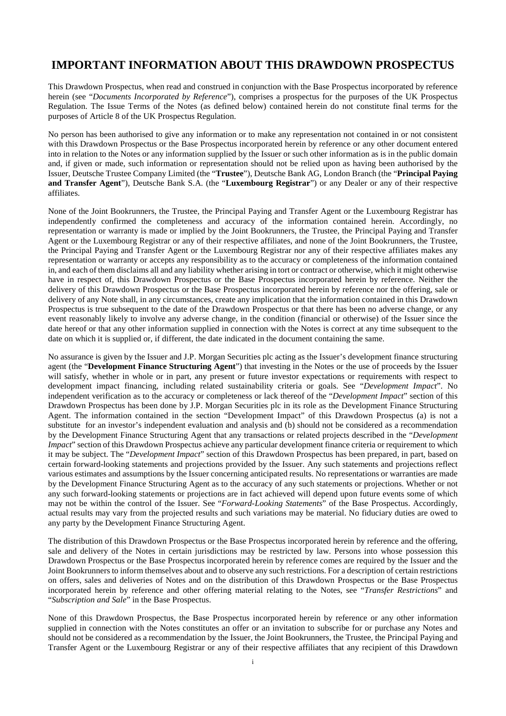## **IMPORTANT INFORMATION ABOUT THIS DRAWDOWN PROSPECTUS**

This Drawdown Prospectus, when read and construed in conjunction with the Base Prospectus incorporated by reference herein (see "*Documents Incorporated by Reference*"), comprises a prospectus for the purposes of the UK Prospectus Regulation. The Issue Terms of the Notes (as defined below) contained herein do not constitute final terms for the purposes of Article 8 of the UK Prospectus Regulation.

No person has been authorised to give any information or to make any representation not contained in or not consistent with this Drawdown Prospectus or the Base Prospectus incorporated herein by reference or any other document entered into in relation to the Notes or any information supplied by the Issuer or such other information as is in the public domain and, if given or made, such information or representation should not be relied upon as having been authorised by the Issuer, Deutsche Trustee Company Limited (the "**Trustee**"), Deutsche Bank AG, London Branch (the "**Principal Paying and Transfer Agent**"), Deutsche Bank S.A. (the "**Luxembourg Registrar**") or any Dealer or any of their respective affiliates.

None of the Joint Bookrunners, the Trustee, the Principal Paying and Transfer Agent or the Luxembourg Registrar has independently confirmed the completeness and accuracy of the information contained herein. Accordingly, no representation or warranty is made or implied by the Joint Bookrunners, the Trustee, the Principal Paying and Transfer Agent or the Luxembourg Registrar or any of their respective affiliates, and none of the Joint Bookrunners, the Trustee, the Principal Paying and Transfer Agent or the Luxembourg Registrar nor any of their respective affiliates makes any representation or warranty or accepts any responsibility as to the accuracy or completeness of the information contained in, and each of them disclaims all and any liability whether arising in tort or contract or otherwise, which it might otherwise have in respect of, this Drawdown Prospectus or the Base Prospectus incorporated herein by reference. Neither the delivery of this Drawdown Prospectus or the Base Prospectus incorporated herein by reference nor the offering, sale or delivery of any Note shall, in any circumstances, create any implication that the information contained in this Drawdown Prospectus is true subsequent to the date of the Drawdown Prospectus or that there has been no adverse change, or any event reasonably likely to involve any adverse change, in the condition (financial or otherwise) of the Issuer since the date hereof or that any other information supplied in connection with the Notes is correct at any time subsequent to the date on which it is supplied or, if different, the date indicated in the document containing the same.

No assurance is given by the Issuer and J.P. Morgan Securities plc acting as the Issuer's development finance structuring agent (the "**Development Finance Structuring Agent**") that investing in the Notes or the use of proceeds by the Issuer will satisfy, whether in whole or in part, any present or future investor expectations or requirements with respect to development impact financing, including related sustainability criteria or goals. See "*Development Impact*". No independent verification as to the accuracy or completeness or lack thereof of the "*Development Impact*" section of this Drawdown Prospectus has been done by J.P. Morgan Securities plc in its role as the Development Finance Structuring Agent. The information contained in the section "Development Impact" of this Drawdown Prospectus (a) is not a substitute for an investor's independent evaluation and analysis and (b) should not be considered as a recommendation by the Development Finance Structuring Agent that any transactions or related projects described in the "*Development Impact*" section of this Drawdown Prospectus achieve any particular development finance criteria or requirement to which it may be subject. The "*Development Impact*" section of this Drawdown Prospectus has been prepared, in part, based on certain forward-looking statements and projections provided by the Issuer. Any such statements and projections reflect various estimates and assumptions by the Issuer concerning anticipated results. No representations or warranties are made by the Development Finance Structuring Agent as to the accuracy of any such statements or projections. Whether or not any such forward-looking statements or projections are in fact achieved will depend upon future events some of which may not be within the control of the Issuer. See "*Forward-Looking Statements*" of the Base Prospectus. Accordingly, actual results may vary from the projected results and such variations may be material. No fiduciary duties are owed to any party by the Development Finance Structuring Agent.

The distribution of this Drawdown Prospectus or the Base Prospectus incorporated herein by reference and the offering, sale and delivery of the Notes in certain jurisdictions may be restricted by law. Persons into whose possession this Drawdown Prospectus or the Base Prospectus incorporated herein by reference comes are required by the Issuer and the Joint Bookrunners to inform themselves about and to observe any such restrictions. For a description of certain restrictions on offers, sales and deliveries of Notes and on the distribution of this Drawdown Prospectus or the Base Prospectus incorporated herein by reference and other offering material relating to the Notes, see "*Transfer Restrictions*" and "*Subscription and Sale*" in the Base Prospectus.

None of this Drawdown Prospectus, the Base Prospectus incorporated herein by reference or any other information supplied in connection with the Notes constitutes an offer or an invitation to subscribe for or purchase any Notes and should not be considered as a recommendation by the Issuer, the Joint Bookrunners, the Trustee, the Principal Paying and Transfer Agent or the Luxembourg Registrar or any of their respective affiliates that any recipient of this Drawdown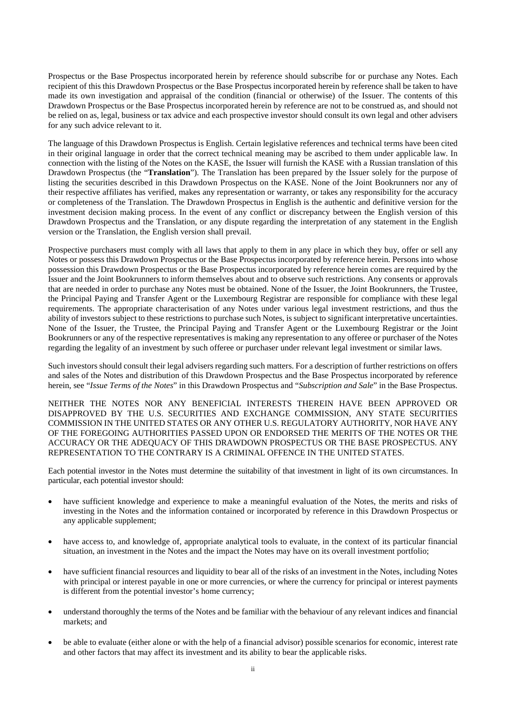Prospectus or the Base Prospectus incorporated herein by reference should subscribe for or purchase any Notes. Each recipient of this this Drawdown Prospectus or the Base Prospectus incorporated herein by reference shall be taken to have made its own investigation and appraisal of the condition (financial or otherwise) of the Issuer. The contents of this Drawdown Prospectus or the Base Prospectus incorporated herein by reference are not to be construed as, and should not be relied on as, legal, business or tax advice and each prospective investor should consult its own legal and other advisers for any such advice relevant to it.

The language of this Drawdown Prospectus is English. Certain legislative references and technical terms have been cited in their original language in order that the correct technical meaning may be ascribed to them under applicable law. In connection with the listing of the Notes on the KASE, the Issuer will furnish the KASE with a Russian translation of this Drawdown Prospectus (the "**Translation**"). The Translation has been prepared by the Issuer solely for the purpose of listing the securities described in this Drawdown Prospectus on the KASE. None of the Joint Bookrunners nor any of their respective affiliates has verified, makes any representation or warranty, or takes any responsibility for the accuracy or completeness of the Translation. The Drawdown Prospectus in English is the authentic and definitive version for the investment decision making process. In the event of any conflict or discrepancy between the English version of this Drawdown Prospectus and the Translation, or any dispute regarding the interpretation of any statement in the English version or the Translation, the English version shall prevail.

Prospective purchasers must comply with all laws that apply to them in any place in which they buy, offer or sell any Notes or possess this Drawdown Prospectus or the Base Prospectus incorporated by reference herein. Persons into whose possession this Drawdown Prospectus or the Base Prospectus incorporated by reference herein comes are required by the Issuer and the Joint Bookrunners to inform themselves about and to observe such restrictions. Any consents or approvals that are needed in order to purchase any Notes must be obtained. None of the Issuer, the Joint Bookrunners, the Trustee, the Principal Paying and Transfer Agent or the Luxembourg Registrar are responsible for compliance with these legal requirements. The appropriate characterisation of any Notes under various legal investment restrictions, and thus the ability of investors subject to these restrictions to purchase such Notes, is subject to significant interpretative uncertainties. None of the Issuer, the Trustee, the Principal Paying and Transfer Agent or the Luxembourg Registrar or the Joint Bookrunners or any of the respective representatives is making any representation to any offeree or purchaser of the Notes regarding the legality of an investment by such offeree or purchaser under relevant legal investment or similar laws.

Such investors should consult their legal advisers regarding such matters. For a description of further restrictions on offers and sales of the Notes and distribution of this Drawdown Prospectus and the Base Prospectus incorporated by reference herein, see "*Issue Terms of the Notes*" in this Drawdown Prospectus and "*Subscription and Sale*" in the Base Prospectus.

NEITHER THE NOTES NOR ANY BENEFICIAL INTERESTS THEREIN HAVE BEEN APPROVED OR DISAPPROVED BY THE U.S. SECURITIES AND EXCHANGE COMMISSION, ANY STATE SECURITIES COMMISSION IN THE UNITED STATES OR ANY OTHER U.S. REGULATORY AUTHORITY, NOR HAVE ANY OF THE FOREGOING AUTHORITIES PASSED UPON OR ENDORSED THE MERITS OF THE NOTES OR THE ACCURACY OR THE ADEQUACY OF THIS DRAWDOWN PROSPECTUS OR THE BASE PROSPECTUS. ANY REPRESENTATION TO THE CONTRARY IS A CRIMINAL OFFENCE IN THE UNITED STATES.

Each potential investor in the Notes must determine the suitability of that investment in light of its own circumstances. In particular, each potential investor should:

- have sufficient knowledge and experience to make a meaningful evaluation of the Notes, the merits and risks of investing in the Notes and the information contained or incorporated by reference in this Drawdown Prospectus or any applicable supplement;
- have access to, and knowledge of, appropriate analytical tools to evaluate, in the context of its particular financial situation, an investment in the Notes and the impact the Notes may have on its overall investment portfolio;
- have sufficient financial resources and liquidity to bear all of the risks of an investment in the Notes, including Notes with principal or interest payable in one or more currencies, or where the currency for principal or interest payments is different from the potential investor's home currency;
- understand thoroughly the terms of the Notes and be familiar with the behaviour of any relevant indices and financial markets; and
- be able to evaluate (either alone or with the help of a financial advisor) possible scenarios for economic, interest rate and other factors that may affect its investment and its ability to bear the applicable risks.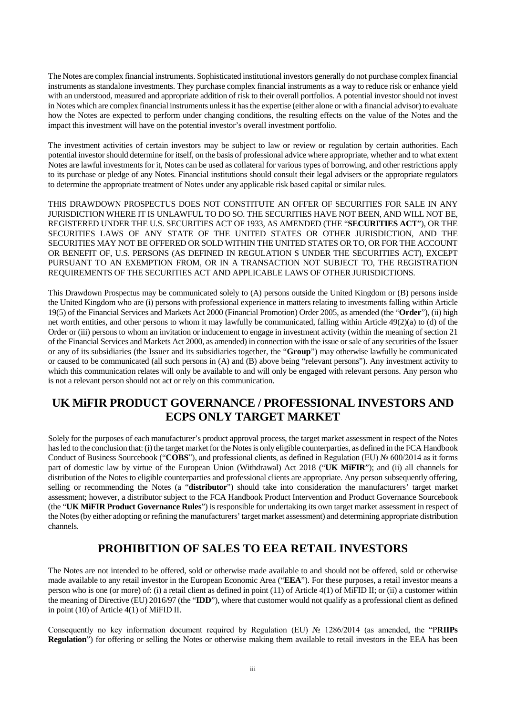The Notes are complex financial instruments. Sophisticated institutional investors generally do not purchase complex financial instruments as standalone investments. They purchase complex financial instruments as a way to reduce risk or enhance yield with an understood, measured and appropriate addition of risk to their overall portfolios. A potential investor should not invest in Notes which are complex financial instruments unless it has the expertise (either alone or with a financial advisor) to evaluate how the Notes are expected to perform under changing conditions, the resulting effects on the value of the Notes and the impact this investment will have on the potential investor's overall investment portfolio.

The investment activities of certain investors may be subject to law or review or regulation by certain authorities. Each potential investor should determine for itself, on the basis of professional advice where appropriate, whether and to what extent Notes are lawful investments for it, Notes can be used as collateral for various types of borrowing, and other restrictions apply to its purchase or pledge of any Notes. Financial institutions should consult their legal advisers or the appropriate regulators to determine the appropriate treatment of Notes under any applicable risk based capital or similar rules.

THIS DRAWDOWN PROSPECTUS DOES NOT CONSTITUTE AN OFFER OF SECURITIES FOR SALE IN ANY JURISDICTION WHERE IT IS UNLAWFUL TO DO SO. THE SECURITIES HAVE NOT BEEN, AND WILL NOT BE, REGISTERED UNDER THE U.S. SECURITIES ACT OF 1933, AS AMENDED (THE "**SECURITIES ACT**"), OR THE SECURITIES LAWS OF ANY STATE OF THE UNITED STATES OR OTHER JURISDICTION, AND THE SECURITIES MAY NOT BE OFFERED OR SOLD WITHIN THE UNITED STATES OR TO, OR FOR THE ACCOUNT OR BENEFIT OF, U.S. PERSONS (AS DEFINED IN REGULATION S UNDER THE SECURITIES ACT), EXCEPT PURSUANT TO AN EXEMPTION FROM, OR IN A TRANSACTION NOT SUBJECT TO, THE REGISTRATION REQUIREMENTS OF THE SECURITIES ACT AND APPLICABLE LAWS OF OTHER JURISDICTIONS.

This Drawdown Prospectus may be communicated solely to (A) persons outside the United Kingdom or (B) persons inside the United Kingdom who are (i) persons with professional experience in matters relating to investments falling within Article 19(5) of the Financial Services and Markets Act 2000 (Financial Promotion) Order 2005, as amended (the "**Order**"), (ii) high net worth entities, and other persons to whom it may lawfully be communicated, falling within Article 49(2)(a) to (d) of the Order or (iii) persons to whom an invitation or inducement to engage in investment activity (within the meaning of section 21 of the Financial Services and Markets Act 2000, as amended) in connection with the issue or sale of any securities of the Issuer or any of its subsidiaries (the Issuer and its subsidiaries together, the "**Group**") may otherwise lawfully be communicated or caused to be communicated (all such persons in (A) and (B) above being "relevant persons"). Any investment activity to which this communication relates will only be available to and will only be engaged with relevant persons. Any person who is not a relevant person should not act or rely on this communication.

## **UK MiFIR PRODUCT GOVERNANCE / PROFESSIONAL INVESTORS AND ECPS ONLY TARGET MARKET**

Solely for the purposes of each manufacturer's product approval process, the target market assessment in respect of the Notes has led to the conclusion that: (i) the target market for the Notes is only eligible counterparties, as defined in the FCA Handbook Conduct of Business Sourcebook ("**COBS**"), and professional clients, as defined in Regulation (EU) № 600/2014 as it forms part of domestic law by virtue of the European Union (Withdrawal) Act 2018 ("**UK MiFIR**"); and (ii) all channels for distribution of the Notes to eligible counterparties and professional clients are appropriate. Any person subsequently offering, selling or recommending the Notes (a "**distributor**") should take into consideration the manufacturers' target market assessment; however, a distributor subject to the FCA Handbook Product Intervention and Product Governance Sourcebook (the "**UK MiFIR Product Governance Rules**") is responsible for undertaking its own target market assessment in respect of the Notes (by either adopting or refining the manufacturers' target market assessment) and determining appropriate distribution channels.

## **PROHIBITION OF SALES TO EEA RETAIL INVESTORS**

The Notes are not intended to be offered, sold or otherwise made available to and should not be offered, sold or otherwise made available to any retail investor in the European Economic Area ("**EEA**"). For these purposes, a retail investor means a person who is one (or more) of: (i) a retail client as defined in point (11) of Article 4(1) of MiFID II; or (ii) a customer within the meaning of Directive (EU) 2016/97 (the "**IDD**"), where that customer would not qualify as a professional client as defined in point (10) of Article 4(1) of MiFID II.

Consequently no key information document required by Regulation (EU) № 1286/2014 (as amended, the "P**RIIPs Regulation**") for offering or selling the Notes or otherwise making them available to retail investors in the EEA has been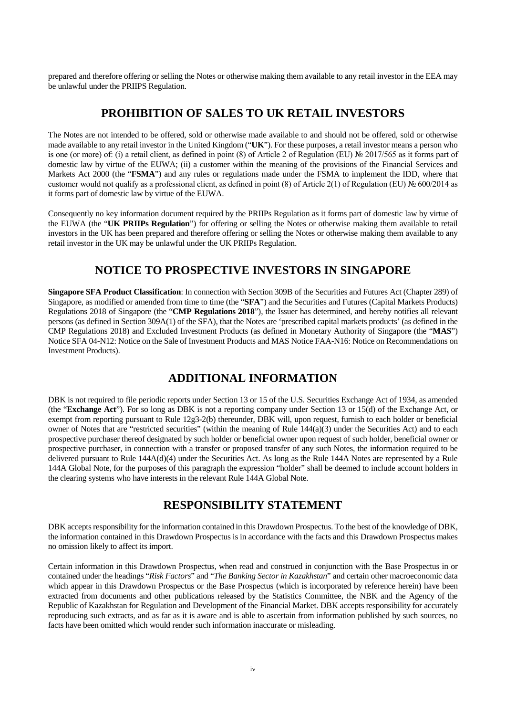prepared and therefore offering or selling the Notes or otherwise making them available to any retail investor in the EEA may be unlawful under the PRIIPS Regulation.

### **PROHIBITION OF SALES TO UK RETAIL INVESTORS**

The Notes are not intended to be offered, sold or otherwise made available to and should not be offered, sold or otherwise made available to any retail investor in the United Kingdom ("**UK**"). For these purposes, a retail investor means a person who is one (or more) of: (i) a retail client, as defined in point (8) of Article 2 of Regulation (EU) № 2017/565 as it forms part of domestic law by virtue of the EUWA; (ii) a customer within the meaning of the provisions of the Financial Services and Markets Act 2000 (the "**FSMA**") and any rules or regulations made under the FSMA to implement the IDD, where that customer would not qualify as a professional client, as defined in point (8) of Article 2(1) of Regulation (EU) № 600/2014 as it forms part of domestic law by virtue of the EUWA.

Consequently no key information document required by the PRIIPs Regulation as it forms part of domestic law by virtue of the EUWA (the "**UK PRIIPs Regulation**") for offering or selling the Notes or otherwise making them available to retail investors in the UK has been prepared and therefore offering or selling the Notes or otherwise making them available to any retail investor in the UK may be unlawful under the UK PRIIPs Regulation.

### **NOTICE TO PROSPECTIVE INVESTORS IN SINGAPORE**

**Singapore SFA Product Classification**: In connection with Section 309B of the Securities and Futures Act (Chapter 289) of Singapore, as modified or amended from time to time (the "**SFA**") and the Securities and Futures (Capital Markets Products) Regulations 2018 of Singapore (the "**CMP Regulations 2018**"), the Issuer has determined, and hereby notifies all relevant persons (as defined in Section 309A(1) of the SFA), that the Notes are 'prescribed capital markets products' (as defined in the CMP Regulations 2018) and Excluded Investment Products (as defined in Monetary Authority of Singapore (the "**MAS**") Notice SFA 04-N12: Notice on the Sale of Investment Products and MAS Notice FAA-N16: Notice on Recommendations on Investment Products).

## **ADDITIONAL INFORMATION**

DBK is not required to file periodic reports under Section 13 or 15 of the U.S. Securities Exchange Act of 1934, as amended (the "**Exchange Act**"). For so long as DBK is not a reporting company under Section 13 or 15(d) of the Exchange Act, or exempt from reporting pursuant to Rule 12g3-2(b) thereunder, DBK will, upon request, furnish to each holder or beneficial owner of Notes that are "restricted securities" (within the meaning of Rule  $144(a)(3)$  under the Securities Act) and to each prospective purchaser thereof designated by such holder or beneficial owner upon request of such holder, beneficial owner or prospective purchaser, in connection with a transfer or proposed transfer of any such Notes, the information required to be delivered pursuant to Rule 144A(d)(4) under the Securities Act. As long as the Rule 144A Notes are represented by a Rule 144A Global Note, for the purposes of this paragraph the expression "holder" shall be deemed to include account holders in the clearing systems who have interests in the relevant Rule 144A Global Note.

## **RESPONSIBILITY STATEMENT**

DBK accepts responsibility for the information contained in this Drawdown Prospectus. To the best of the knowledge of DBK, the information contained in this Drawdown Prospectus is in accordance with the facts and this Drawdown Prospectus makes no omission likely to affect its import.

Certain information in this Drawdown Prospectus, when read and construed in conjunction with the Base Prospectus in or contained under the headings "*Risk Factors*" and "*The Banking Sector in Kazakhstan*" and certain other macroeconomic data which appear in this Drawdown Prospectus or the Base Prospectus (which is incorporated by reference herein) have been extracted from documents and other publications released by the Statistics Committee, the NBK and the Agency of the Republic of Kazakhstan for Regulation and Development of the Financial Market. DBK accepts responsibility for accurately reproducing such extracts, and as far as it is aware and is able to ascertain from information published by such sources, no facts have been omitted which would render such information inaccurate or misleading.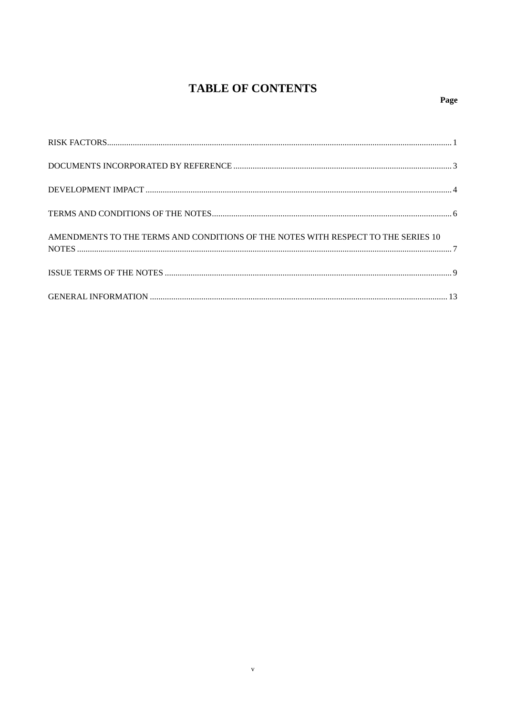# **TABLE OF CONTENTS**

| AMENDMENTS TO THE TERMS AND CONDITIONS OF THE NOTES WITH RESPECT TO THE SERIES 10 |  |
|-----------------------------------------------------------------------------------|--|
|                                                                                   |  |
|                                                                                   |  |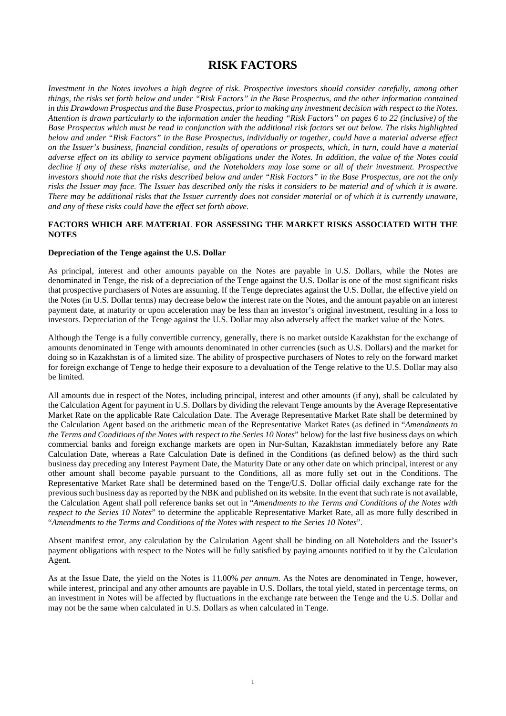### **RISK FACTORS**

*Investment in the Notes involves a high degree of risk. Prospective investors should consider carefully, among other things, the risks set forth below and under "Risk Factors" in the Base Prospectus, and the other information contained in this Drawdown Prospectus and the Base Prospectus, prior to making any investment decision with respect to the Notes. Attention is drawn particularly to the information under the heading "Risk Factors" on pages 6 to 22 (inclusive) of the Base Prospectus which must be read in conjunction with the additional risk factors set out below. The risks highlighted below and under "Risk Factors" in the Base Prospectus, individually or together, could have a material adverse effect on the Issuer's business, financial condition, results of operations or prospects, which, in turn, could have a material adverse effect on its ability to service payment obligations under the Notes. In addition, the value of the Notes could decline if any of these risks materialise, and the Noteholders may lose some or all of their investment. Prospective investors should note that the risks described below and under "Risk Factors" in the Base Prospectus, are not the only risks the Issuer may face. The Issuer has described only the risks it considers to be material and of which it is aware. There may be additional risks that the Issuer currently does not consider material or of which it is currently unaware, and any of these risks could have the effect set forth above.* 

### **FACTORS WHICH ARE MATERIAL FOR ASSESSING THE MARKET RISKS ASSOCIATED WITH THE NOTES**

#### **Depreciation of the Tenge against the U.S. Dollar**

As principal, interest and other amounts payable on the Notes are payable in U.S. Dollars, while the Notes are denominated in Tenge, the risk of a depreciation of the Tenge against the U.S. Dollar is one of the most significant risks that prospective purchasers of Notes are assuming. If the Tenge depreciates against the U.S. Dollar, the effective yield on the Notes (in U.S. Dollar terms) may decrease below the interest rate on the Notes, and the amount payable on an interest payment date, at maturity or upon acceleration may be less than an investor's original investment, resulting in a loss to investors. Depreciation of the Tenge against the U.S. Dollar may also adversely affect the market value of the Notes.

Although the Tenge is a fully convertible currency, generally, there is no market outside Kazakhstan for the exchange of amounts denominated in Tenge with amounts denominated in other currencies (such as U.S. Dollars) and the market for doing so in Kazakhstan is of a limited size. The ability of prospective purchasers of Notes to rely on the forward market for foreign exchange of Tenge to hedge their exposure to a devaluation of the Tenge relative to the U.S. Dollar may also be limited.

All amounts due in respect of the Notes, including principal, interest and other amounts (if any), shall be calculated by the Calculation Agent for payment in U.S. Dollars by dividing the relevant Tenge amounts by the Average Representative Market Rate on the applicable Rate Calculation Date. The Average Representative Market Rate shall be determined by the Calculation Agent based on the arithmetic mean of the Representative Market Rates (as defined in "*Amendments to the Terms and Conditions of the Notes with respect to the Series 10 Notes*" below) for the last five business days on which commercial banks and foreign exchange markets are open in Nur-Sultan, Kazakhstan immediately before any Rate Calculation Date, whereas a Rate Calculation Date is defined in the Conditions (as defined below) as the third such business day preceding any Interest Payment Date, the Maturity Date or any other date on which principal, interest or any other amount shall become payable pursuant to the Conditions, all as more fully set out in the Conditions. The Representative Market Rate shall be determined based on the Tenge/U.S. Dollar official daily exchange rate for the previous such business day as reported by the NBK and published on its website. In the event that such rate is not available, the Calculation Agent shall poll reference banks set out in "*Amendments to the Terms and Conditions of the Notes with respect to the Series 10 Notes*" to determine the applicable Representative Market Rate, all as more fully described in "*Amendments to the Terms and Conditions of the Notes with respect to the Series 10 Notes*".

Absent manifest error, any calculation by the Calculation Agent shall be binding on all Noteholders and the Issuer's payment obligations with respect to the Notes will be fully satisfied by paying amounts notified to it by the Calculation Agent.

As at the Issue Date, the yield on the Notes is 11.00% *per annum*. As the Notes are denominated in Tenge, however, while interest, principal and any other amounts are payable in U.S. Dollars, the total yield, stated in percentage terms, on an investment in Notes will be affected by fluctuations in the exchange rate between the Tenge and the U.S. Dollar and may not be the same when calculated in U.S. Dollars as when calculated in Tenge.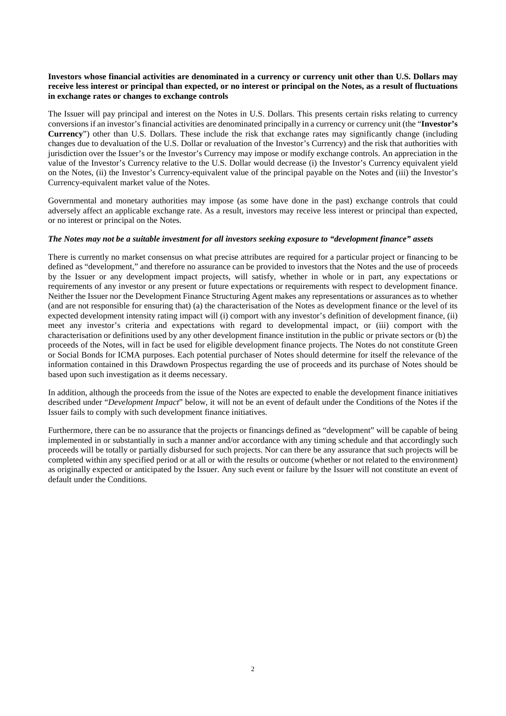### **Investors whose financial activities are denominated in a currency or currency unit other than U.S. Dollars may receive less interest or principal than expected, or no interest or principal on the Notes, as a result of fluctuations in exchange rates or changes to exchange controls**

The Issuer will pay principal and interest on the Notes in U.S. Dollars. This presents certain risks relating to currency conversions if an investor's financial activities are denominated principally in a currency or currency unit (the "**Investor's Currency**") other than U.S. Dollars. These include the risk that exchange rates may significantly change (including changes due to devaluation of the U.S. Dollar or revaluation of the Investor's Currency) and the risk that authorities with jurisdiction over the Issuer's or the Investor's Currency may impose or modify exchange controls. An appreciation in the value of the Investor's Currency relative to the U.S. Dollar would decrease (i) the Investor's Currency equivalent yield on the Notes, (ii) the Investor's Currency-equivalent value of the principal payable on the Notes and (iii) the Investor's Currency-equivalent market value of the Notes.

Governmental and monetary authorities may impose (as some have done in the past) exchange controls that could adversely affect an applicable exchange rate. As a result, investors may receive less interest or principal than expected, or no interest or principal on the Notes.

### *The Notes may not be a suitable investment for all investors seeking exposure to "development finance" assets*

There is currently no market consensus on what precise attributes are required for a particular project or financing to be defined as "development," and therefore no assurance can be provided to investors that the Notes and the use of proceeds by the Issuer or any development impact projects, will satisfy, whether in whole or in part, any expectations or requirements of any investor or any present or future expectations or requirements with respect to development finance. Neither the Issuer nor the Development Finance Structuring Agent makes any representations or assurances as to whether (and are not responsible for ensuring that) (a) the characterisation of the Notes as development finance or the level of its expected development intensity rating impact will (i) comport with any investor's definition of development finance, (ii) meet any investor's criteria and expectations with regard to developmental impact, or (iii) comport with the characterisation or definitions used by any other development finance institution in the public or private sectors or (b) the proceeds of the Notes, will in fact be used for eligible development finance projects. The Notes do not constitute Green or Social Bonds for ICMA purposes. Each potential purchaser of Notes should determine for itself the relevance of the information contained in this Drawdown Prospectus regarding the use of proceeds and its purchase of Notes should be based upon such investigation as it deems necessary.

In addition, although the proceeds from the issue of the Notes are expected to enable the development finance initiatives described under "*Development Impact*" below, it will not be an event of default under the Conditions of the Notes if the Issuer fails to comply with such development finance initiatives.

Furthermore, there can be no assurance that the projects or financings defined as "development" will be capable of being implemented in or substantially in such a manner and/or accordance with any timing schedule and that accordingly such proceeds will be totally or partially disbursed for such projects. Nor can there be any assurance that such projects will be completed within any specified period or at all or with the results or outcome (whether or not related to the environment) as originally expected or anticipated by the Issuer. Any such event or failure by the Issuer will not constitute an event of default under the Conditions.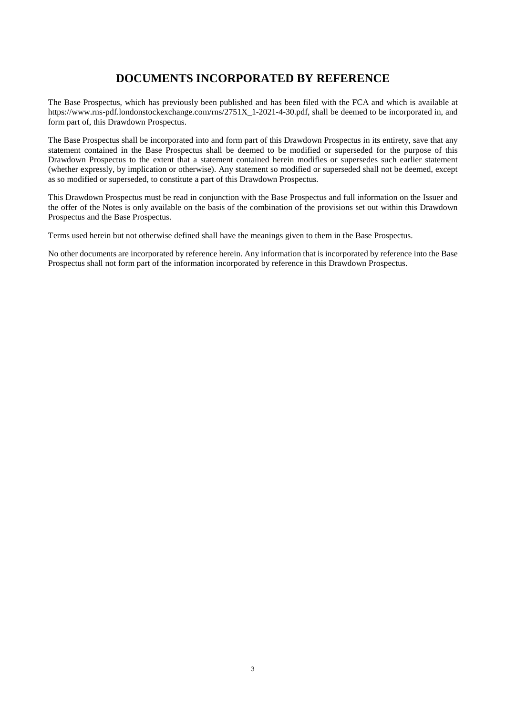### **DOCUMENTS INCORPORATED BY REFERENCE**

The Base Prospectus, which has previously been published and has been filed with the FCA and which is available at https://www.rns-pdf.londonstockexchange.com/rns/2751X\_1-2021-4-30.pdf, shall be deemed to be incorporated in, and form part of, this Drawdown Prospectus.

The Base Prospectus shall be incorporated into and form part of this Drawdown Prospectus in its entirety, save that any statement contained in the Base Prospectus shall be deemed to be modified or superseded for the purpose of this Drawdown Prospectus to the extent that a statement contained herein modifies or supersedes such earlier statement (whether expressly, by implication or otherwise). Any statement so modified or superseded shall not be deemed, except as so modified or superseded, to constitute a part of this Drawdown Prospectus.

This Drawdown Prospectus must be read in conjunction with the Base Prospectus and full information on the Issuer and the offer of the Notes is only available on the basis of the combination of the provisions set out within this Drawdown Prospectus and the Base Prospectus.

Terms used herein but not otherwise defined shall have the meanings given to them in the Base Prospectus.

No other documents are incorporated by reference herein. Any information that is incorporated by reference into the Base Prospectus shall not form part of the information incorporated by reference in this Drawdown Prospectus.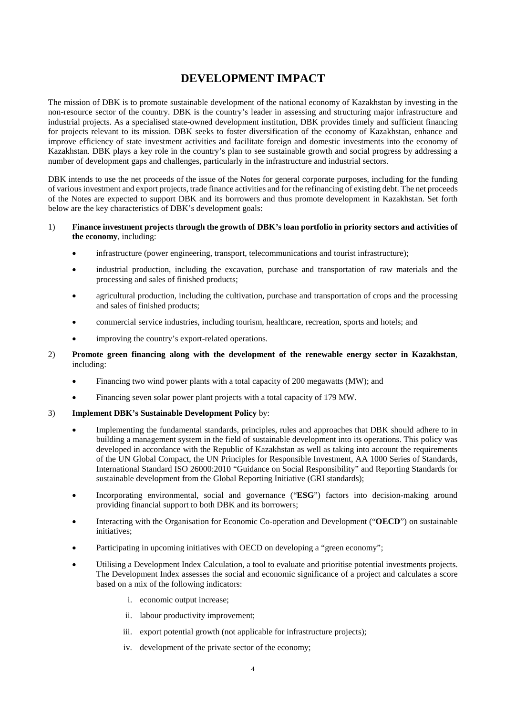### **DEVELOPMENT IMPACT**

The mission of DBK is to promote sustainable development of the national economy of Kazakhstan by investing in the non-resource sector of the country. DBK is the country's leader in assessing and structuring major infrastructure and industrial projects. As a specialised state-owned development institution, DBK provides timely and sufficient financing for projects relevant to its mission. DBK seeks to foster diversification of the economy of Kazakhstan, enhance and improve efficiency of state investment activities and facilitate foreign and domestic investments into the economy of Kazakhstan. DBK plays a key role in the country's plan to see sustainable growth and social progress by addressing a number of development gaps and challenges, particularly in the infrastructure and industrial sectors.

DBK intends to use the net proceeds of the issue of the Notes for general corporate purposes, including for the funding of various investment and export projects, trade finance activities and for the refinancing of existing debt. The net proceeds of the Notes are expected to support DBK and its borrowers and thus promote development in Kazakhstan. Set forth below are the key characteristics of DBK's development goals:

### 1) **Finance investment projects through the growth of DBK's loan portfolio in priority sectors and activities of the economy**, including:

- infrastructure (power engineering, transport, telecommunications and tourist infrastructure);
- industrial production, including the excavation, purchase and transportation of raw materials and the processing and sales of finished products;
- agricultural production, including the cultivation, purchase and transportation of crops and the processing and sales of finished products;
- commercial service industries, including tourism, healthcare, recreation, sports and hotels; and
- improving the country's export-related operations.

### 2) **Promote green financing along with the development of the renewable energy sector in Kazakhstan**, including:

- Financing two wind power plants with a total capacity of 200 megawatts (MW); and
- Financing seven solar power plant projects with a total capacity of 179 MW.

### 3) **Implement DBK's Sustainable Development Policy** by:

- Implementing the fundamental standards, principles, rules and approaches that DBK should adhere to in building a management system in the field of sustainable development into its operations. This policy was developed in accordance with the Republic of Kazakhstan as well as taking into account the requirements of the UN Global Compact, the UN Principles for Responsible Investment, AA 1000 Series of Standards, International Standard ISO 26000:2010 "Guidance on Social Responsibility" and Reporting Standards for sustainable development from the Global Reporting Initiative (GRI standards);
- Incorporating environmental, social and governance ("**ESG**") factors into decision-making around providing financial support to both DBK and its borrowers;
- Interacting with the Organisation for Economic Co-operation and Development ("**OECD**") on sustainable initiatives;
- Participating in upcoming initiatives with OECD on developing a "green economy";
- Utilising a Development Index Calculation, a tool to evaluate and prioritise potential investments projects. The Development Index assesses the social and economic significance of a project and calculates a score based on a mix of the following indicators:
	- i. economic output increase;
	- ii. labour productivity improvement;
	- iii. export potential growth (not applicable for infrastructure projects);
	- iv. development of the private sector of the economy;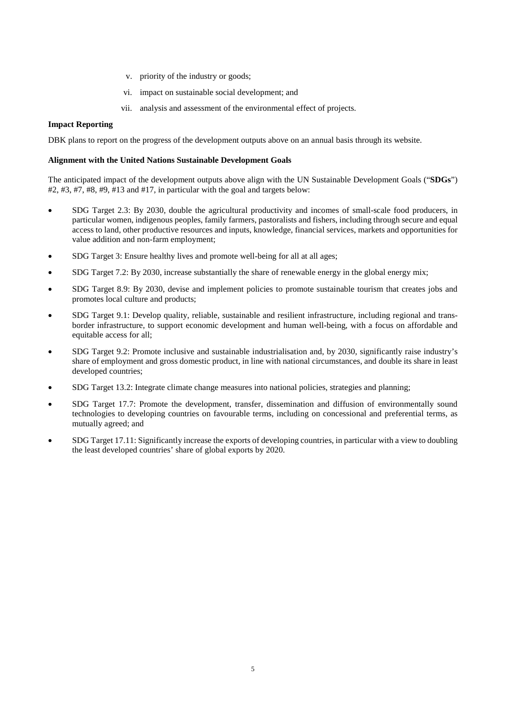- v. priority of the industry or goods;
- vi. impact on sustainable social development; and
- vii. analysis and assessment of the environmental effect of projects.

### **Impact Reporting**

DBK plans to report on the progress of the development outputs above on an annual basis through its website.

#### **Alignment with the United Nations Sustainable Development Goals**

The anticipated impact of the development outputs above align with the UN Sustainable Development Goals ("**SDGs**") #2, #3, #7, #8, #9, #13 and #17, in particular with the goal and targets below:

- SDG Target 2.3: By 2030, double the agricultural productivity and incomes of small-scale food producers, in particular women, indigenous peoples, family farmers, pastoralists and fishers, including through secure and equal access to land, other productive resources and inputs, knowledge, financial services, markets and opportunities for value addition and non-farm employment;
- SDG Target 3: Ensure healthy lives and promote well-being for all at all ages;
- SDG Target 7.2: By 2030, increase substantially the share of renewable energy in the global energy mix;
- SDG Target 8.9: By 2030, devise and implement policies to promote sustainable tourism that creates jobs and promotes local culture and products;
- SDG Target 9.1: Develop quality, reliable, sustainable and resilient infrastructure, including regional and transborder infrastructure, to support economic development and human well-being, with a focus on affordable and equitable access for all;
- SDG Target 9.2: Promote inclusive and sustainable industrialisation and, by 2030, significantly raise industry's share of employment and gross domestic product, in line with national circumstances, and double its share in least developed countries;
- SDG Target 13.2: Integrate climate change measures into national policies, strategies and planning;
- SDG Target 17.7: Promote the development, transfer, dissemination and diffusion of environmentally sound technologies to developing countries on favourable terms, including on concessional and preferential terms, as mutually agreed; and
- SDG Target 17.11: Significantly increase the exports of developing countries, in particular with a view to doubling the least developed countries' share of global exports by 2020.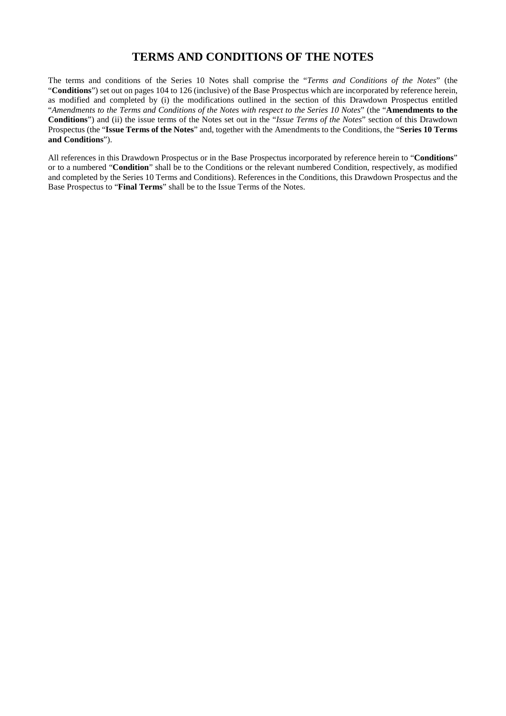### **TERMS AND CONDITIONS OF THE NOTES**

The terms and conditions of the Series 10 Notes shall comprise the "*Terms and Conditions of the Notes*" (the "**Conditions**") set out on pages 104 to 126 (inclusive) of the Base Prospectus which are incorporated by reference herein, as modified and completed by (i) the modifications outlined in the section of this Drawdown Prospectus entitled "*Amendments to the Terms and Conditions of the Notes with respect to the Series 10 Notes*" (the "**Amendments to the Conditions**") and (ii) the issue terms of the Notes set out in the "*Issue Terms of the Notes*" section of this Drawdown Prospectus (the "**Issue Terms of the Notes**" and, together with the Amendments to the Conditions, the "**Series 10 Terms and Conditions**").

All references in this Drawdown Prospectus or in the Base Prospectus incorporated by reference herein to "**Conditions**" or to a numbered "**Condition**" shall be to the Conditions or the relevant numbered Condition, respectively, as modified and completed by the Series 10 Terms and Conditions). References in the Conditions, this Drawdown Prospectus and the Base Prospectus to "**Final Terms**" shall be to the Issue Terms of the Notes.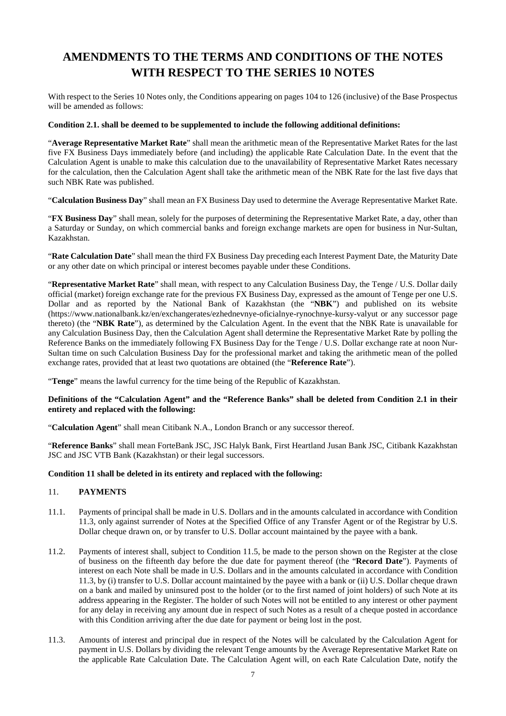# **AMENDMENTS TO THE TERMS AND CONDITIONS OF THE NOTES WITH RESPECT TO THE SERIES 10 NOTES**

With respect to the Series 10 Notes only, the Conditions appearing on pages 104 to 126 (inclusive) of the Base Prospectus will be amended as follows:

### **Condition 2.1. shall be deemed to be supplemented to include the following additional definitions:**

"**Average Representative Market Rate**" shall mean the arithmetic mean of the Representative Market Rates for the last five FX Business Days immediately before (and including) the applicable Rate Calculation Date. In the event that the Calculation Agent is unable to make this calculation due to the unavailability of Representative Market Rates necessary for the calculation, then the Calculation Agent shall take the arithmetic mean of the NBK Rate for the last five days that such NBK Rate was published.

"**Calculation Business Day**" shall mean an FX Business Day used to determine the Average Representative Market Rate.

"**FX Business Day**" shall mean, solely for the purposes of determining the Representative Market Rate, a day, other than a Saturday or Sunday, on which commercial banks and foreign exchange markets are open for business in Nur-Sultan, Kazakhstan.

"**Rate Calculation Date**" shall mean the third FX Business Day preceding each Interest Payment Date, the Maturity Date or any other date on which principal or interest becomes payable under these Conditions.

"**Representative Market Rate**" shall mean, with respect to any Calculation Business Day, the Tenge / U.S. Dollar daily official (market) foreign exchange rate for the previous FX Business Day, expressed as the amount of Tenge per one U.S. Dollar and as reported by the National Bank of Kazakhstan (the "**NBK**") and published on its website (https://www.nationalbank.kz/en/exchangerates/ezhednevnye-oficialnye-rynochnye-kursy-valyut or any successor page thereto) (the "**NBK Rate**"), as determined by the Calculation Agent. In the event that the NBK Rate is unavailable for any Calculation Business Day, then the Calculation Agent shall determine the Representative Market Rate by polling the Reference Banks on the immediately following FX Business Day for the Tenge / U.S. Dollar exchange rate at noon Nur-Sultan time on such Calculation Business Day for the professional market and taking the arithmetic mean of the polled exchange rates, provided that at least two quotations are obtained (the "**Reference Rate**").

"**Tenge**" means the lawful currency for the time being of the Republic of Kazakhstan.

### **Definitions of the "Calculation Agent" and the "Reference Banks" shall be deleted from Condition 2.1 in their entirety and replaced with the following:**

"**Calculation Agent**" shall mean Citibank N.A., London Branch or any successor thereof.

"**Reference Banks**" shall mean ForteBank JSC, JSC Halyk Bank, First Heartland Jusan Bank JSC, Citibank Kazakhstan JSC and JSC VTB Bank (Kazakhstan) or their legal successors.

### **Condition 11 shall be deleted in its entirety and replaced with the following:**

### 11. **PAYMENTS**

- 11.1. Payments of principal shall be made in U.S. Dollars and in the amounts calculated in accordance with Condition 11.3, only against surrender of Notes at the Specified Office of any Transfer Agent or of the Registrar by U.S. Dollar cheque drawn on, or by transfer to U.S. Dollar account maintained by the payee with a bank.
- 11.2. Payments of interest shall, subject to Condition 11.5, be made to the person shown on the Register at the close of business on the fifteenth day before the due date for payment thereof (the "**Record Date**"). Payments of interest on each Note shall be made in U.S. Dollars and in the amounts calculated in accordance with Condition 11.3, by (i) transfer to U.S. Dollar account maintained by the payee with a bank or (ii) U.S. Dollar cheque drawn on a bank and mailed by uninsured post to the holder (or to the first named of joint holders) of such Note at its address appearing in the Register. The holder of such Notes will not be entitled to any interest or other payment for any delay in receiving any amount due in respect of such Notes as a result of a cheque posted in accordance with this Condition arriving after the due date for payment or being lost in the post.
- 11.3. Amounts of interest and principal due in respect of the Notes will be calculated by the Calculation Agent for payment in U.S. Dollars by dividing the relevant Tenge amounts by the Average Representative Market Rate on the applicable Rate Calculation Date. The Calculation Agent will, on each Rate Calculation Date, notify the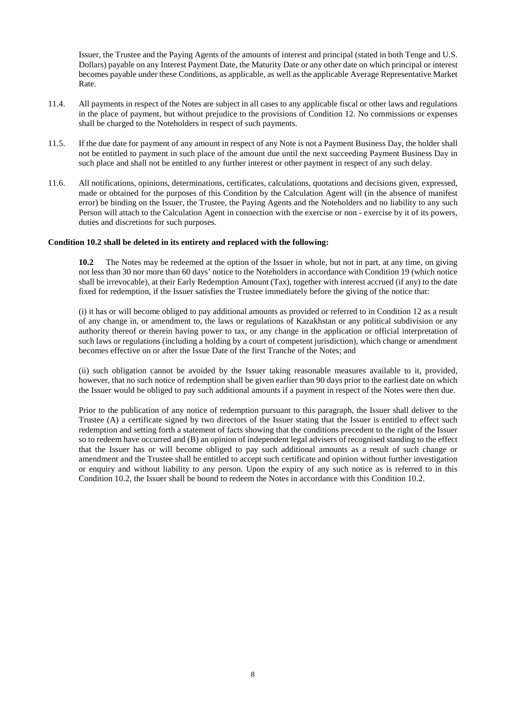Issuer, the Trustee and the Paying Agents of the amounts of interest and principal (stated in both Tenge and U.S. Dollars) payable on any Interest Payment Date, the Maturity Date or any other date on which principal or interest becomes payable under these Conditions, as applicable, as well as the applicable Average Representative Market Rate.

- 11.4. All payments in respect of the Notes are subject in all cases to any applicable fiscal or other laws and regulations in the place of payment, but without prejudice to the provisions of Condition 12. No commissions or expenses shall be charged to the Noteholders in respect of such payments.
- 11.5. If the due date for payment of any amount in respect of any Note is not a Payment Business Day, the holder shall not be entitled to payment in such place of the amount due until the next succeeding Payment Business Day in such place and shall not be entitled to any further interest or other payment in respect of any such delay.
- 11.6. All notifications, opinions, determinations, certificates, calculations, quotations and decisions given, expressed, made or obtained for the purposes of this Condition by the Calculation Agent will (in the absence of manifest error) be binding on the Issuer, the Trustee, the Paying Agents and the Noteholders and no liability to any such Person will attach to the Calculation Agent in connection with the exercise or non - exercise by it of its powers, duties and discretions for such purposes.

#### **Condition 10.2 shall be deleted in its entirety and replaced with the following:**

**10.2** The Notes may be redeemed at the option of the Issuer in whole, but not in part, at any time, on giving not less than 30 nor more than 60 days' notice to the Noteholders in accordance with Condition 19 (which notice shall be irrevocable), at their Early Redemption Amount (Tax), together with interest accrued (if any) to the date fixed for redemption, if the Issuer satisfies the Trustee immediately before the giving of the notice that:

(i) it has or will become obliged to pay additional amounts as provided or referred to in Condition 12 as a result of any change in, or amendment to, the laws or regulations of Kazakhstan or any political subdivision or any authority thereof or therein having power to tax, or any change in the application or official interpretation of such laws or regulations (including a holding by a court of competent jurisdiction), which change or amendment becomes effective on or after the Issue Date of the first Tranche of the Notes; and

(ii) such obligation cannot be avoided by the Issuer taking reasonable measures available to it, provided, however, that no such notice of redemption shall be given earlier than 90 days prior to the earliest date on which the Issuer would be obliged to pay such additional amounts if a payment in respect of the Notes were then due.

Prior to the publication of any notice of redemption pursuant to this paragraph, the Issuer shall deliver to the Trustee (A) a certificate signed by two directors of the Issuer stating that the Issuer is entitled to effect such redemption and setting forth a statement of facts showing that the conditions precedent to the right of the Issuer so to redeem have occurred and (B) an opinion of independent legal advisers of recognised standing to the effect that the Issuer has or will become obliged to pay such additional amounts as a result of such change or amendment and the Trustee shall be entitled to accept such certificate and opinion without further investigation or enquiry and without liability to any person. Upon the expiry of any such notice as is referred to in this Condition 10.2, the Issuer shall be bound to redeem the Notes in accordance with this Condition 10.2.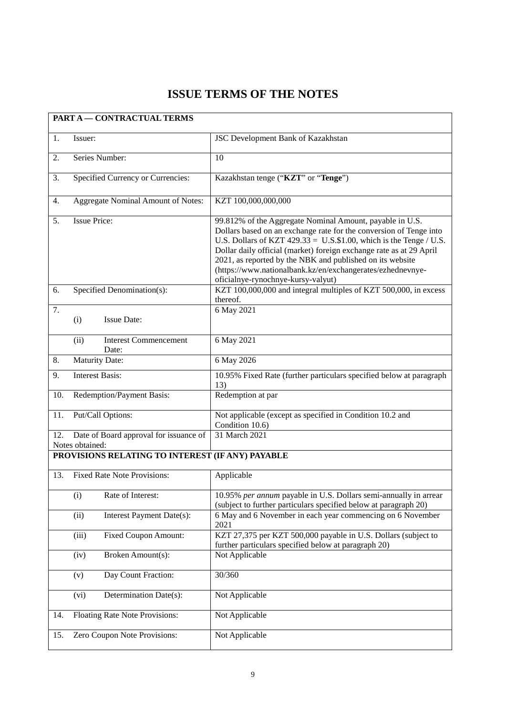# **ISSUE TERMS OF THE NOTES**

| <b>PART A - CONTRACTUAL TERMS</b>                |                                                           |                                                                                                                                                                                                                                                                                                                                                                                                                                                 |
|--------------------------------------------------|-----------------------------------------------------------|-------------------------------------------------------------------------------------------------------------------------------------------------------------------------------------------------------------------------------------------------------------------------------------------------------------------------------------------------------------------------------------------------------------------------------------------------|
| 1.                                               | Issuer:                                                   | JSC Development Bank of Kazakhstan                                                                                                                                                                                                                                                                                                                                                                                                              |
| 2.                                               | Series Number:                                            | 10                                                                                                                                                                                                                                                                                                                                                                                                                                              |
| 3.                                               | Specified Currency or Currencies:                         | Kazakhstan tenge ("KZT" or "Tenge")                                                                                                                                                                                                                                                                                                                                                                                                             |
| 4.                                               | Aggregate Nominal Amount of Notes:                        | KZT 100,000,000,000                                                                                                                                                                                                                                                                                                                                                                                                                             |
| <b>Issue Price:</b><br>5.                        |                                                           | 99.812% of the Aggregate Nominal Amount, payable in U.S.<br>Dollars based on an exchange rate for the conversion of Tenge into<br>U.S. Dollars of KZT $429.33 = U.S.$ \$1.00, which is the Tenge / U.S.<br>Dollar daily official (market) foreign exchange rate as at 29 April<br>2021, as reported by the NBK and published on its website<br>(https://www.nationalbank.kz/en/exchangerates/ezhednevnye-<br>oficialnye-rynochnye-kursy-valyut) |
| 6.                                               | Specified Denomination(s):                                | KZT 100,000,000 and integral multiples of KZT 500,000, in excess<br>thereof.                                                                                                                                                                                                                                                                                                                                                                    |
| 7.                                               | <b>Issue Date:</b><br>(i)                                 | 6 May 2021                                                                                                                                                                                                                                                                                                                                                                                                                                      |
|                                                  | (ii)<br><b>Interest Commencement</b><br>Date:             | 6 May 2021                                                                                                                                                                                                                                                                                                                                                                                                                                      |
| 8.                                               | <b>Maturity Date:</b>                                     | 6 May 2026                                                                                                                                                                                                                                                                                                                                                                                                                                      |
| 9.                                               | <b>Interest Basis:</b>                                    | 10.95% Fixed Rate (further particulars specified below at paragraph<br>13)                                                                                                                                                                                                                                                                                                                                                                      |
| 10.                                              | Redemption/Payment Basis:                                 | Redemption at par                                                                                                                                                                                                                                                                                                                                                                                                                               |
| 11.                                              | Put/Call Options:                                         | Not applicable (except as specified in Condition 10.2 and<br>Condition 10.6)                                                                                                                                                                                                                                                                                                                                                                    |
| 12.                                              | Date of Board approval for issuance of<br>Notes obtained: | 31 March 2021                                                                                                                                                                                                                                                                                                                                                                                                                                   |
| PROVISIONS RELATING TO INTEREST (IF ANY) PAYABLE |                                                           |                                                                                                                                                                                                                                                                                                                                                                                                                                                 |
| 13.                                              | <b>Fixed Rate Note Provisions:</b>                        | Applicable                                                                                                                                                                                                                                                                                                                                                                                                                                      |
|                                                  | (i)<br>Rate of Interest:                                  | 10.95% per annum payable in U.S. Dollars semi-annually in arrear<br>(subject to further particulars specified below at paragraph 20)                                                                                                                                                                                                                                                                                                            |
|                                                  | (ii)<br>Interest Payment Date(s):                         | 6 May and 6 November in each year commencing on 6 November<br>2021                                                                                                                                                                                                                                                                                                                                                                              |
|                                                  | (iii)<br><b>Fixed Coupon Amount:</b>                      | KZT 27,375 per KZT 500,000 payable in U.S. Dollars (subject to<br>further particulars specified below at paragraph 20)                                                                                                                                                                                                                                                                                                                          |
|                                                  | (iv)<br>Broken Amount(s):                                 | Not Applicable                                                                                                                                                                                                                                                                                                                                                                                                                                  |
|                                                  | Day Count Fraction:<br>(v)                                | 30/360                                                                                                                                                                                                                                                                                                                                                                                                                                          |
|                                                  | (vi)<br>Determination Date(s):                            | Not Applicable                                                                                                                                                                                                                                                                                                                                                                                                                                  |
| 14.                                              | Floating Rate Note Provisions:                            | Not Applicable                                                                                                                                                                                                                                                                                                                                                                                                                                  |
| 15.                                              | Zero Coupon Note Provisions:                              | Not Applicable                                                                                                                                                                                                                                                                                                                                                                                                                                  |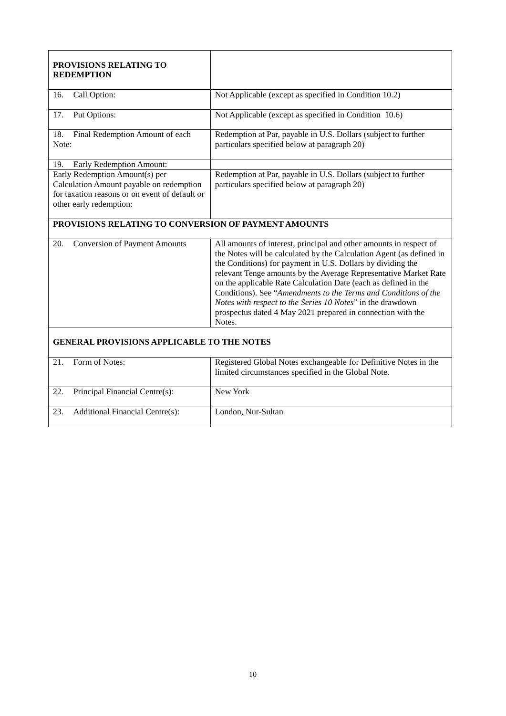| <b>PROVISIONS RELATING TO</b><br><b>REDEMPTION</b>                                                                                                      |                                                                                                                                                                                                                                                                                                                                                                                                                                                                                                                                                            |  |
|---------------------------------------------------------------------------------------------------------------------------------------------------------|------------------------------------------------------------------------------------------------------------------------------------------------------------------------------------------------------------------------------------------------------------------------------------------------------------------------------------------------------------------------------------------------------------------------------------------------------------------------------------------------------------------------------------------------------------|--|
| Call Option:<br>16.                                                                                                                                     | Not Applicable (except as specified in Condition 10.2)                                                                                                                                                                                                                                                                                                                                                                                                                                                                                                     |  |
| 17.<br>Put Options:                                                                                                                                     | Not Applicable (except as specified in Condition 10.6)                                                                                                                                                                                                                                                                                                                                                                                                                                                                                                     |  |
| Final Redemption Amount of each<br>18.<br>Note:                                                                                                         | Redemption at Par, payable in U.S. Dollars (subject to further<br>particulars specified below at paragraph 20)                                                                                                                                                                                                                                                                                                                                                                                                                                             |  |
| 19.<br>Early Redemption Amount:                                                                                                                         |                                                                                                                                                                                                                                                                                                                                                                                                                                                                                                                                                            |  |
| Early Redemption Amount(s) per<br>Calculation Amount payable on redemption<br>for taxation reasons or on event of default or<br>other early redemption: | Redemption at Par, payable in U.S. Dollars (subject to further<br>particulars specified below at paragraph 20)                                                                                                                                                                                                                                                                                                                                                                                                                                             |  |
| PROVISIONS RELATING TO CONVERSION OF PAYMENT AMOUNTS                                                                                                    |                                                                                                                                                                                                                                                                                                                                                                                                                                                                                                                                                            |  |
| 20.<br><b>Conversion of Payment Amounts</b>                                                                                                             | All amounts of interest, principal and other amounts in respect of<br>the Notes will be calculated by the Calculation Agent (as defined in<br>the Conditions) for payment in U.S. Dollars by dividing the<br>relevant Tenge amounts by the Average Representative Market Rate<br>on the applicable Rate Calculation Date (each as defined in the<br>Conditions). See "Amendments to the Terms and Conditions of the<br>Notes with respect to the Series 10 Notes" in the drawdown<br>prospectus dated 4 May 2021 prepared in connection with the<br>Notes. |  |
| <b>GENERAL PROVISIONS APPLICABLE TO THE NOTES</b>                                                                                                       |                                                                                                                                                                                                                                                                                                                                                                                                                                                                                                                                                            |  |
| Form of Notes:<br>21.                                                                                                                                   | Registered Global Notes exchangeable for Definitive Notes in the<br>limited circumstances specified in the Global Note.                                                                                                                                                                                                                                                                                                                                                                                                                                    |  |
| Principal Financial Centre(s):<br>22.                                                                                                                   | New York                                                                                                                                                                                                                                                                                                                                                                                                                                                                                                                                                   |  |
| <b>Additional Financial Centre(s):</b><br>23.                                                                                                           | London, Nur-Sultan                                                                                                                                                                                                                                                                                                                                                                                                                                                                                                                                         |  |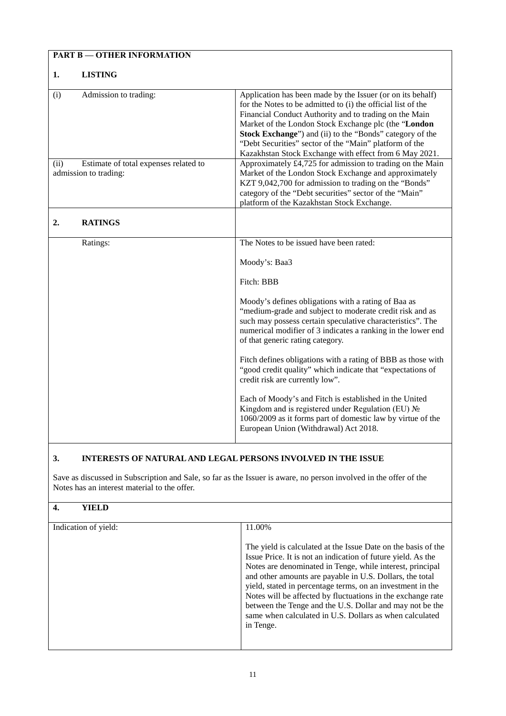| <b>PART B - OTHER INFORMATION</b>                                      |                                                                                                                                                                                                                                                                                                                                                                                                                                                                                                                                                                                                                                                                                                                                                      |  |
|------------------------------------------------------------------------|------------------------------------------------------------------------------------------------------------------------------------------------------------------------------------------------------------------------------------------------------------------------------------------------------------------------------------------------------------------------------------------------------------------------------------------------------------------------------------------------------------------------------------------------------------------------------------------------------------------------------------------------------------------------------------------------------------------------------------------------------|--|
| <b>LISTING</b><br>1.                                                   |                                                                                                                                                                                                                                                                                                                                                                                                                                                                                                                                                                                                                                                                                                                                                      |  |
| Admission to trading:<br>(i)                                           | Application has been made by the Issuer (or on its behalf)<br>for the Notes to be admitted to (i) the official list of the<br>Financial Conduct Authority and to trading on the Main<br>Market of the London Stock Exchange plc (the "London<br>Stock Exchange") and (ii) to the "Bonds" category of the<br>"Debt Securities" sector of the "Main" platform of the<br>Kazakhstan Stock Exchange with effect from 6 May 2021.                                                                                                                                                                                                                                                                                                                         |  |
| Estimate of total expenses related to<br>(ii)<br>admission to trading: | Approximately £4,725 for admission to trading on the Main<br>Market of the London Stock Exchange and approximately<br>KZT 9,042,700 for admission to trading on the "Bonds"<br>category of the "Debt securities" sector of the "Main"<br>platform of the Kazakhstan Stock Exchange.                                                                                                                                                                                                                                                                                                                                                                                                                                                                  |  |
| 2.<br><b>RATINGS</b>                                                   |                                                                                                                                                                                                                                                                                                                                                                                                                                                                                                                                                                                                                                                                                                                                                      |  |
| Ratings:                                                               | The Notes to be issued have been rated:<br>Moody's: Baa3<br>Fitch: BBB<br>Moody's defines obligations with a rating of Baa as<br>"medium-grade and subject to moderate credit risk and as<br>such may possess certain speculative characteristics". The<br>numerical modifier of 3 indicates a ranking in the lower end<br>of that generic rating category.<br>Fitch defines obligations with a rating of BBB as those with<br>"good credit quality" which indicate that "expectations of<br>credit risk are currently low".<br>Each of Moody's and Fitch is established in the United<br>Kingdom and is registered under Regulation (EU) No<br>1060/2009 as it forms part of domestic law by virtue of the<br>European Union (Withdrawal) Act 2018. |  |

### **3. INTERESTS OF NATURAL AND LEGAL PERSONS INVOLVED IN THE ISSUE**

Save as discussed in Subscription and Sale, so far as the Issuer is aware, no person involved in the offer of the Notes has an interest material to the offer.

### **4. YIELD**

| Indication of yield: | 11.00%                                                                                                                                                                                                                                                                                                                                                                                                                                                                                                                  |
|----------------------|-------------------------------------------------------------------------------------------------------------------------------------------------------------------------------------------------------------------------------------------------------------------------------------------------------------------------------------------------------------------------------------------------------------------------------------------------------------------------------------------------------------------------|
|                      | The yield is calculated at the Issue Date on the basis of the<br>Issue Price. It is not an indication of future yield. As the<br>Notes are denominated in Tenge, while interest, principal<br>and other amounts are payable in U.S. Dollars, the total<br>yield, stated in percentage terms, on an investment in the<br>Notes will be affected by fluctuations in the exchange rate<br>between the Tenge and the U.S. Dollar and may not be the<br>same when calculated in U.S. Dollars as when calculated<br>in Tenge. |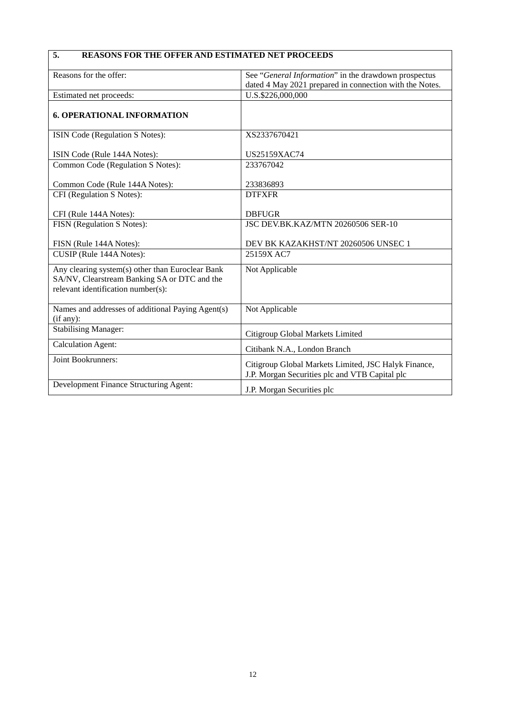# **5. REASONS FOR THE OFFER AND ESTIMATED NET PROCEEDS**

| Reasons for the offer:                            | See "General Information" in the drawdown prospectus    |
|---------------------------------------------------|---------------------------------------------------------|
|                                                   | dated 4 May 2021 prepared in connection with the Notes. |
| Estimated net proceeds:                           | U.S.\$226,000,000                                       |
|                                                   |                                                         |
| <b>6. OPERATIONAL INFORMATION</b>                 |                                                         |
|                                                   |                                                         |
| ISIN Code (Regulation S Notes):                   | XS2337670421                                            |
|                                                   |                                                         |
| ISIN Code (Rule 144A Notes):                      | US25159XAC74                                            |
| Common Code (Regulation S Notes):                 | 233767042                                               |
|                                                   |                                                         |
| Common Code (Rule 144A Notes):                    | 233836893                                               |
| CFI (Regulation S Notes):                         | <b>DTFXFR</b>                                           |
|                                                   |                                                         |
| CFI (Rule 144A Notes):                            | <b>DBFUGR</b>                                           |
| FISN (Regulation S Notes):                        | JSC DEV.BK.KAZ/MTN 20260506 SER-10                      |
|                                                   |                                                         |
| FISN (Rule 144A Notes):                           | DEV BK KAZAKHST/NT 20260506 UNSEC 1                     |
| CUSIP (Rule 144A Notes):                          | 25159X AC7                                              |
| Any clearing system(s) other than Euroclear Bank  | Not Applicable                                          |
| SA/NV, Clearstream Banking SA or DTC and the      |                                                         |
| relevant identification number(s):                |                                                         |
|                                                   |                                                         |
| Names and addresses of additional Paying Agent(s) | Not Applicable                                          |
| (if any):                                         |                                                         |
| <b>Stabilising Manager:</b>                       |                                                         |
|                                                   | Citigroup Global Markets Limited                        |
| <b>Calculation Agent:</b>                         | Citibank N.A., London Branch                            |
| Joint Bookrunners:                                |                                                         |
|                                                   | Citigroup Global Markets Limited, JSC Halyk Finance,    |
|                                                   | J.P. Morgan Securities plc and VTB Capital plc          |
| Development Finance Structuring Agent:            | J.P. Morgan Securities plc                              |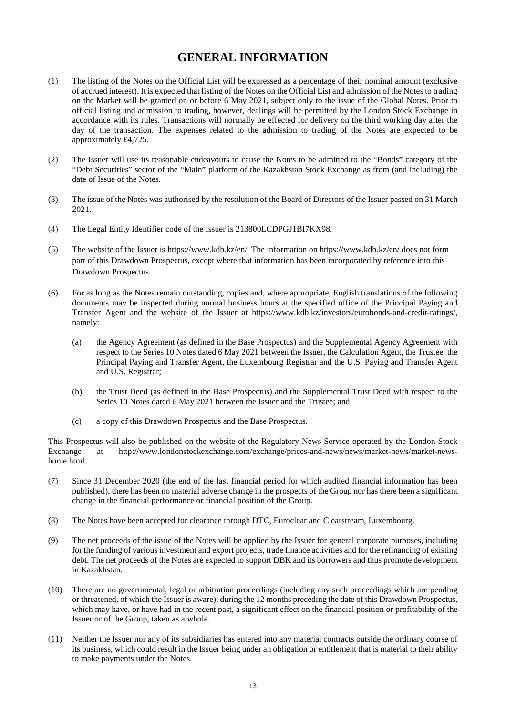### **GENERAL INFORMATION**

- (1) The listing of the Notes on the Official List will be expressed as a percentage of their nominal amount (exclusive of accrued interest). It is expected that listing of the Notes on the Official List and admission of the Notes to trading on the Market will be granted on or before 6 May 2021, subject only to the issue of the Global Notes. Prior to official listing and admission to trading, however, dealings will be permitted by the London Stock Exchange in accordance with its rules. Transactions will normally be effected for delivery on the third working day after the day of the transaction. The expenses related to the admission to trading of the Notes are expected to be approximately £4,725.
- (2) The Issuer will use its reasonable endeavours to cause the Notes to be admitted to the "Bonds" category of the "Debt Securities" sector of the "Main" platform of the Kazakhstan Stock Exchange as from (and including) the date of Issue of the Notes.
- (3) The issue of the Notes was authorised by the resolution of the Board of Directors of the Issuer passed on 31 March 2021.
- (4) The Legal Entity Identifier code of the Issuer is 213800LCDPGJ1BI7KX98.
- (5) The website of the Issuer is https://www.kdb.kz/en/. The information on https://www.kdb.kz/en/ does not form part of this Drawdown Prospectus, except where that information has been incorporated by reference into this Drawdown Prospectus.
- (6) For as long as the Notes remain outstanding, copies and, where appropriate, English translations of the following documents may be inspected during normal business hours at the specified office of the Principal Paying and Transfer Agent and the website of the Issuer at https://www.kdb.kz/investors/eurobonds-and-credit-ratings/, namely:
	- (a) the Agency Agreement (as defined in the Base Prospectus) and the Supplemental Agency Agreement with respect to the Series 10 Notes dated 6 May 2021 between the Issuer, the Calculation Agent, the Trustee, the Principal Paying and Transfer Agent, the Luxembourg Registrar and the U.S. Paying and Transfer Agent and U.S. Registrar;
	- (b) the Trust Deed (as defined in the Base Prospectus) and the Supplemental Trust Deed with respect to the Series 10 Notes dated 6 May 2021 between the Issuer and the Trustee; and
	- (c) a copy of this Drawdown Prospectus and the Base Prospectus.

This Prospectus will also be published on the website of the Regulatory News Service operated by the London Stock Exchange at http://www.londonstockexchange.com/exchange/prices-and-news/news/market-news/market-newshome.html.

- (7) Since 31 December 2020 (the end of the last financial period for which audited financial information has been published), there has been no material adverse change in the prospects of the Group nor has there been a significant change in the financial performance or financial position of the Group.
- (8) The Notes have been accepted for clearance through DTC, Euroclear and Clearstream, Luxembourg.
- (9) The net proceeds of the issue of the Notes will be applied by the Issuer for general corporate purposes, including for the funding of various investment and export projects, trade finance activities and for the refinancing of existing debt. The net proceeds of the Notes are expected to support DBK and its borrowers and thus promote development in Kazakhstan.
- (10) There are no governmental, legal or arbitration proceedings (including any such proceedings which are pending or threatened, of which the Issuer is aware), during the 12 months preceding the date of this Drawdown Prospectus, which may have, or have had in the recent past, a significant effect on the financial position or profitability of the Issuer or of the Group, taken as a whole.
- (11) Neither the Issuer nor any of its subsidiaries has entered into any material contracts outside the ordinary course of its business, which could result in the Issuer being under an obligation or entitlement that is material to their ability to make payments under the Notes.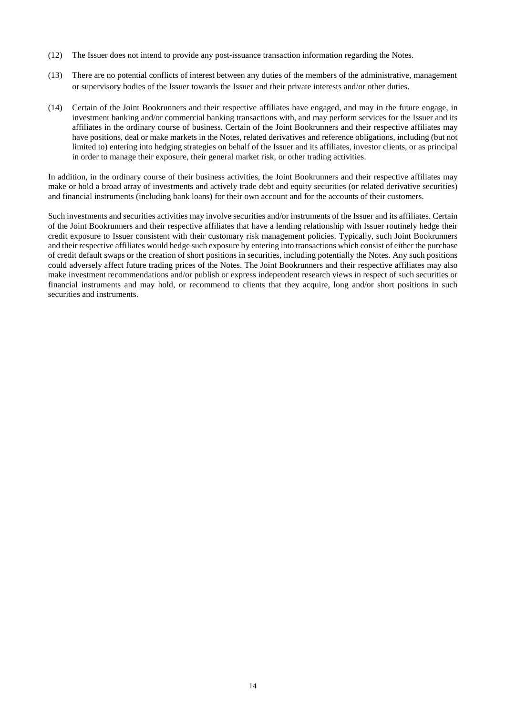- (12) The Issuer does not intend to provide any post-issuance transaction information regarding the Notes.
- (13) There are no potential conflicts of interest between any duties of the members of the administrative, management or supervisory bodies of the Issuer towards the Issuer and their private interests and/or other duties.
- (14) Certain of the Joint Bookrunners and their respective affiliates have engaged, and may in the future engage, in investment banking and/or commercial banking transactions with, and may perform services for the Issuer and its affiliates in the ordinary course of business. Certain of the Joint Bookrunners and their respective affiliates may have positions, deal or make markets in the Notes, related derivatives and reference obligations, including (but not limited to) entering into hedging strategies on behalf of the Issuer and its affiliates, investor clients, or as principal in order to manage their exposure, their general market risk, or other trading activities.

In addition, in the ordinary course of their business activities, the Joint Bookrunners and their respective affiliates may make or hold a broad array of investments and actively trade debt and equity securities (or related derivative securities) and financial instruments (including bank loans) for their own account and for the accounts of their customers.

Such investments and securities activities may involve securities and/or instruments of the Issuer and its affiliates. Certain of the Joint Bookrunners and their respective affiliates that have a lending relationship with Issuer routinely hedge their credit exposure to Issuer consistent with their customary risk management policies. Typically, such Joint Bookrunners and their respective affiliates would hedge such exposure by entering into transactions which consist of either the purchase of credit default swaps or the creation of short positions in securities, including potentially the Notes. Any such positions could adversely affect future trading prices of the Notes. The Joint Bookrunners and their respective affiliates may also make investment recommendations and/or publish or express independent research views in respect of such securities or financial instruments and may hold, or recommend to clients that they acquire, long and/or short positions in such securities and instruments.